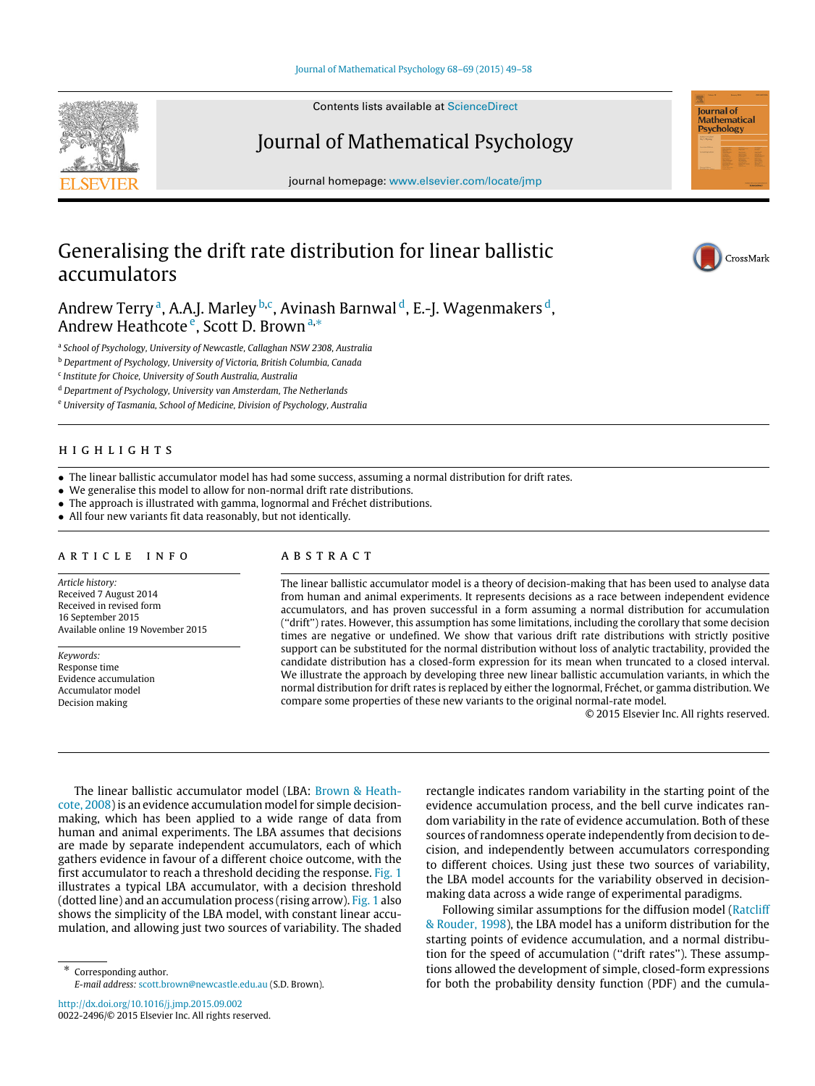## [Journal of Mathematical Psychology 68–69 \(2015\) 49–58](http://dx.doi.org/10.1016/j.jmp.2015.09.002)



Contents lists available at [ScienceDirect](http://www.elsevier.com/locate/jmp)

# Journal of Mathematical Psychology

journal homepage: [www.elsevier.com/locate/jmp](http://www.elsevier.com/locate/jmp)

# Generalising the drift rate distribution for linear ballistic accumulators



**Journal of**<br>Mathematical **Psychology** 

Andrew Terry <sup>[a](#page-0-0)</sup>, A.A.J. Marley <sup>[b](#page-0-1)[,c](#page-0-2)</sup>, Avinash Barnwal <sup>[d](#page-0-3)</sup>, E.-J. Wagenmakers <sup>d</sup>, Andr[e](#page-0-4)w Heathcote<sup>e</sup>, Scott D. Brown [a,](#page-0-0)\*

<span id="page-0-0"></span>a *School of Psychology, University of Newcastle, Callaghan NSW 2308, Australia*

<span id="page-0-1"></span><sup>b</sup> *Department of Psychology, University of Victoria, British Columbia, Canada*

<span id="page-0-2"></span>c *Institute for Choice, University of South Australia, Australia*

<span id="page-0-3"></span><sup>d</sup> *Department of Psychology, University van Amsterdam, The Netherlands*

<span id="page-0-4"></span><sup>e</sup> *University of Tasmania, School of Medicine, Division of Psychology, Australia*

# h i g h l i g h t s

• The linear ballistic accumulator model has had some success, assuming a normal distribution for drift rates.

- We generalise this model to allow for non-normal drift rate distributions.
- The approach is illustrated with gamma, lognormal and Fréchet distributions.
- All four new variants fit data reasonably, but not identically.

# ARTICLE INFO

*Article history:* Received 7 August 2014 Received in revised form 16 September 2015 Available online 19 November 2015

*Keywords:* Response time Evidence accumulation Accumulator model Decision making

# A B S T R A C T

The linear ballistic accumulator model is a theory of decision-making that has been used to analyse data from human and animal experiments. It represents decisions as a race between independent evidence accumulators, and has proven successful in a form assuming a normal distribution for accumulation (''drift'') rates. However, this assumption has some limitations, including the corollary that some decision times are negative or undefined. We show that various drift rate distributions with strictly positive support can be substituted for the normal distribution without loss of analytic tractability, provided the candidate distribution has a closed-form expression for its mean when truncated to a closed interval. We illustrate the approach by developing three new linear ballistic accumulation variants, in which the normal distribution for drift rates is replaced by either the lognormal, Fréchet, or gamma distribution. We compare some properties of these new variants to the original normal-rate model.

© 2015 Elsevier Inc. All rights reserved.

The linear ballistic accumulator model (LBA: [Brown](#page-9-0) [&](#page-9-0) [Heath](#page-9-0)[cote,](#page-9-0) [2008\)](#page-9-0) is an evidence accumulation model for simple decisionmaking, which has been applied to a wide range of data from human and animal experiments. The LBA assumes that decisions are made by separate independent accumulators, each of which gathers evidence in favour of a different choice outcome, with the first accumulator to reach a threshold deciding the response. [Fig. 1](#page-1-0) illustrates a typical LBA accumulator, with a decision threshold (dotted line) and an accumulation process (rising arrow). [Fig. 1](#page-1-0) also shows the simplicity of the LBA model, with constant linear accumulation, and allowing just two sources of variability. The shaded

<span id="page-0-5"></span>∗ Corresponding author. *E-mail address:* [scott.brown@newcastle.edu.au](mailto:scott.brown@newcastle.edu.au) (S.D. Brown).

<http://dx.doi.org/10.1016/j.jmp.2015.09.002> 0022-2496/© 2015 Elsevier Inc. All rights reserved. rectangle indicates random variability in the starting point of the evidence accumulation process, and the bell curve indicates random variability in the rate of evidence accumulation. Both of these sources of randomness operate independently from decision to decision, and independently between accumulators corresponding to different choices. Using just these two sources of variability, the LBA model accounts for the variability observed in decisionmaking data across a wide range of experimental paradigms.

Following similar assumptions for the diffusion model [\(Ratcliff](#page-9-1) [&](#page-9-1) [Rouder,](#page-9-1) [1998\)](#page-9-1), the LBA model has a uniform distribution for the starting points of evidence accumulation, and a normal distribution for the speed of accumulation (''drift rates''). These assumptions allowed the development of simple, closed-form expressions for both the probability density function (PDF) and the cumula-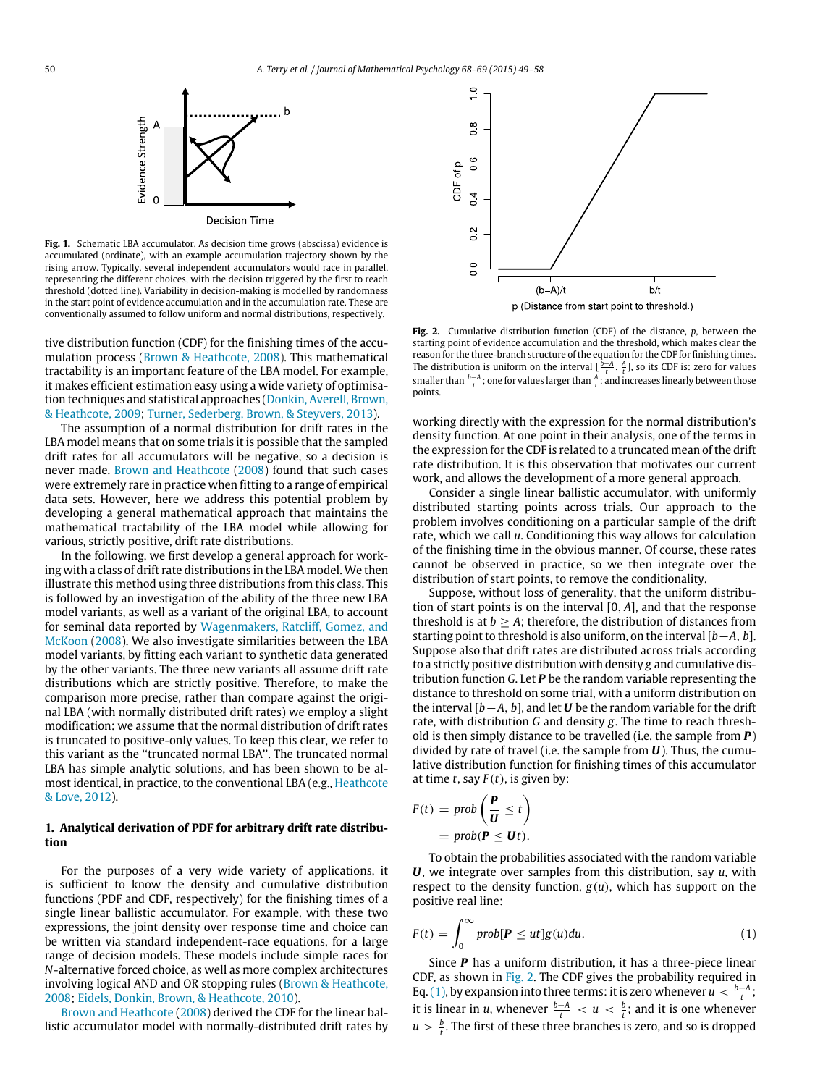<span id="page-1-0"></span>

**Fig. 1.** Schematic LBA accumulator. As decision time grows (abscissa) evidence is accumulated (ordinate), with an example accumulation trajectory shown by the rising arrow. Typically, several independent accumulators would race in parallel, representing the different choices, with the decision triggered by the first to reach threshold (dotted line). Variability in decision-making is modelled by randomness in the start point of evidence accumulation and in the accumulation rate. These are conventionally assumed to follow uniform and normal distributions, respectively.

tive distribution function (CDF) for the finishing times of the accumulation process [\(Brown](#page-9-0) [&](#page-9-0) [Heathcote,](#page-9-0) [2008\)](#page-9-0). This mathematical tractability is an important feature of the LBA model. For example, it makes efficient estimation easy using a wide variety of optimisation techniques and statistical approaches [\(Donkin,](#page-9-2) [Averell,](#page-9-2) [Brown,](#page-9-2) [&](#page-9-2) [Heathcote,](#page-9-2) [2009;](#page-9-2) [Turner,](#page-9-3) [Sederberg,](#page-9-3) [Brown,](#page-9-3) [&](#page-9-3) [Steyvers,](#page-9-3) [2013\)](#page-9-3).

The assumption of a normal distribution for drift rates in the LBA model means that on some trials it is possible that the sampled drift rates for all accumulators will be negative, so a decision is never made. [Brown](#page-9-0) [and](#page-9-0) [Heathcote](#page-9-0) [\(2008\)](#page-9-0) found that such cases were extremely rare in practice when fitting to a range of empirical data sets. However, here we address this potential problem by developing a general mathematical approach that maintains the mathematical tractability of the LBA model while allowing for various, strictly positive, drift rate distributions.

In the following, we first develop a general approach for working with a class of drift rate distributions in the LBA model. We then illustrate this method using three distributions from this class. This is followed by an investigation of the ability of the three new LBA model variants, as well as a variant of the original LBA, to account for seminal data reported by [Wagenmakers,](#page-9-4) [Ratcliff,](#page-9-4) [Gomez,](#page-9-4) [and](#page-9-4) [McKoon](#page-9-4) [\(2008\)](#page-9-4). We also investigate similarities between the LBA model variants, by fitting each variant to synthetic data generated by the other variants. The three new variants all assume drift rate distributions which are strictly positive. Therefore, to make the comparison more precise, rather than compare against the original LBA (with normally distributed drift rates) we employ a slight modification: we assume that the normal distribution of drift rates is truncated to positive-only values. To keep this clear, we refer to this variant as the ''truncated normal LBA''. The truncated normal LBA has simple analytic solutions, and has been shown to be almost identical, in practice, to the conventional LBA (e.g., [Heathcote](#page-9-5) [&](#page-9-5) [Love,](#page-9-5) [2012\)](#page-9-5).

# **1. Analytical derivation of PDF for arbitrary drift rate distribution**

For the purposes of a very wide variety of applications, it is sufficient to know the density and cumulative distribution functions (PDF and CDF, respectively) for the finishing times of a single linear ballistic accumulator. For example, with these two expressions, the joint density over response time and choice can be written via standard independent-race equations, for a large range of decision models. These models include simple races for *N*-alternative forced choice, as well as more complex architectures involving logical AND and OR stopping rules [\(Brown](#page-9-0) [&](#page-9-0) [Heathcote,](#page-9-0) [2008;](#page-9-0) [Eidels,](#page-9-6) [Donkin,](#page-9-6) [Brown,](#page-9-6) [&](#page-9-6) [Heathcote,](#page-9-6) [2010\)](#page-9-6).

[Brown](#page-9-0) [and](#page-9-0) [Heathcote](#page-9-0) [\(2008\)](#page-9-0) derived the CDF for the linear ballistic accumulator model with normally-distributed drift rates by

<span id="page-1-1"></span>

**Fig. 2.** Cumulative distribution function (CDF) of the distance, *p*, between the starting point of evidence accumulation and the threshold, which makes clear the reason for the three-branch structure of the equation for the CDF for finishing times. The distribution is uniform on the interval  $\left[\frac{\hat{b}-A}{t}, \frac{A}{t}\right]$ , so its CDF is: zero for values smaller than  $\frac{b-A}{t}$ ; one for values larger than  $\frac{A}{t}$ ; and increases linearly between those points.

working directly with the expression for the normal distribution's density function. At one point in their analysis, one of the terms in the expression for the CDF is related to a truncated mean of the drift rate distribution. It is this observation that motivates our current work, and allows the development of a more general approach.

Consider a single linear ballistic accumulator, with uniformly distributed starting points across trials. Our approach to the problem involves conditioning on a particular sample of the drift rate, which we call *u*. Conditioning this way allows for calculation of the finishing time in the obvious manner. Of course, these rates cannot be observed in practice, so we then integrate over the distribution of start points, to remove the conditionality.

Suppose, without loss of generality, that the uniform distribution of start points is on the interval [0, *A*], and that the response threshold is at  $b \geq A$ ; therefore, the distribution of distances from starting point to threshold is also uniform, on the interval[*b*−*A*, *b*]. Suppose also that drift rates are distributed across trials according to a strictly positive distribution with density *g* and cumulative distribution function *G*. Let *P* be the random variable representing the distance to threshold on some trial, with a uniform distribution on the interval [*b*−*A*, *b*], and let *U* be the random variable for the drift rate, with distribution *G* and density *g*. The time to reach threshold is then simply distance to be travelled (i.e. the sample from *P*) divided by rate of travel (i.e. the sample from *U*). Thus, the cumulative distribution function for finishing times of this accumulator at time  $t$ , say  $F(t)$ , is given by:

$$
F(t) = prob\left(\frac{\mathbf{P}}{\mathbf{U}} \le t\right)
$$

$$
= prob(\mathbf{P} \le \mathbf{U}t).
$$

To obtain the probabilities associated with the random variable *U*, we integrate over samples from this distribution, say *u*, with respect to the density function,  $g(u)$ , which has support on the positive real line:

<span id="page-1-2"></span>
$$
F(t) = \int_0^\infty \text{prob}[\mathbf{P} \le ut]g(u)du. \tag{1}
$$

Since *P* has a uniform distribution, it has a three-piece linear CDF, as shown in [Fig. 2.](#page-1-1) The CDF gives the probability required in Eq. [\(1\),](#page-1-2) by expansion into three terms: it is zero whenever  $u < \frac{b-A}{t}$ ; it is linear in *u*, whenever  $\frac{b-A}{t} < u < \frac{b}{t}$ ; and it is one whenever  $u > \frac{b}{t}$ . The first of these three branches is zero, and so is dropped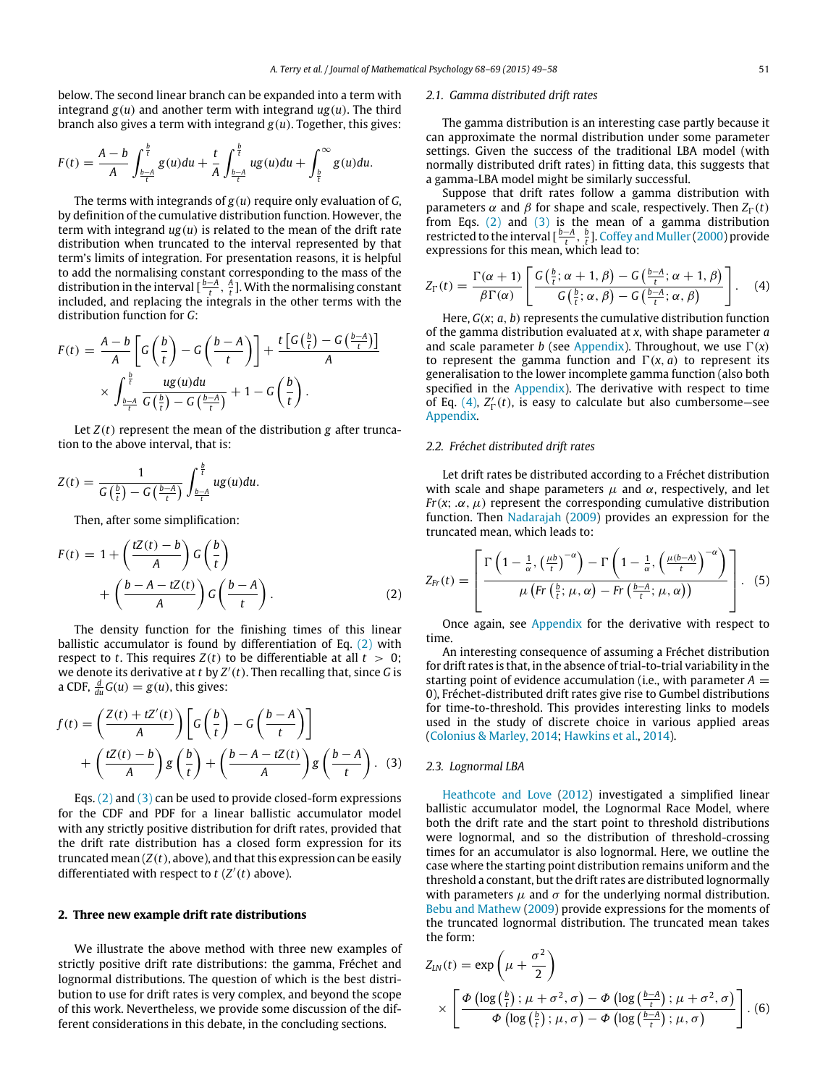below. The second linear branch can be expanded into a term with integrand  $g(u)$  and another term with integrand  $ug(u)$ . The third branch also gives a term with integrand *g*(*u*). Together, this gives:

$$
F(t) = \frac{A-b}{A} \int_{\frac{b-A}{t}}^{\frac{b}{t}} g(u) du + \frac{t}{A} \int_{\frac{b-A}{t}}^{\frac{b}{t}} ug(u) du + \int_{\frac{b}{t}}^{\infty} g(u) du.
$$

The terms with integrands of  $g(u)$  require only evaluation of *G*, by definition of the cumulative distribution function. However, the term with integrand  $ug(u)$  is related to the mean of the drift rate distribution when truncated to the interval represented by that term's limits of integration. For presentation reasons, it is helpful to add the normalising constant corresponding to the mass of the distribution in the interval  $[\frac{b-A}{t}, \frac{A}{t}]$ . With the normalising constant  $intulated, and replacing the integrals in the other terms with the$ distribution function for *G*:

$$
F(t) = \frac{A-b}{A} \left[ G\left(\frac{b}{t}\right) - G\left(\frac{b-A}{t}\right) \right] + \frac{t \left[ G\left(\frac{b}{t}\right) - G\left(\frac{b-A}{t}\right) \right]}{A}
$$

$$
\times \int_{\frac{b-A}{t}}^{\frac{b}{t}} \frac{ug(u)du}{G\left(\frac{b}{t}\right) - G\left(\frac{b-A}{t}\right)} + 1 - G\left(\frac{b}{t}\right).
$$

Let  $Z(t)$  represent the mean of the distribution g after truncation to the above interval, that is:

$$
Z(t) = \frac{1}{G\left(\frac{b}{t}\right) - G\left(\frac{b-A}{t}\right)} \int_{\frac{b-A}{t}}^{\frac{b}{t}} ug(u) du.
$$

Then, after some simplification:

$$
F(t) = 1 + \left(\frac{tZ(t) - b}{A}\right) G\left(\frac{b}{t}\right)
$$

$$
+ \left(\frac{b - A - tZ(t)}{A}\right) G\left(\frac{b - A}{t}\right).
$$
 (2)

The density function for the finishing times of this linear ballistic accumulator is found by differentiation of Eq. [\(2\)](#page-2-0) with respect to *t*. This requires  $Z(t)$  to be differentiable at all  $t > 0$ ; we denote its derivative at *t* by *Z* ′ (*t*). Then recalling that, since *G* is a CDF,  $\frac{d}{du}G(u) = g(u)$ , this gives:

$$
f(t) = \left(\frac{Z(t) + tZ'(t)}{A}\right) \left[G\left(\frac{b}{t}\right) - G\left(\frac{b-A}{t}\right)\right] + \left(\frac{tZ(t) - b}{A}\right)g\left(\frac{b}{t}\right) + \left(\frac{b-A - tZ(t)}{A}\right)g\left(\frac{b-A}{t}\right). \tag{3}
$$

Eqs.  $(2)$  and  $(3)$  can be used to provide closed-form expressions for the CDF and PDF for a linear ballistic accumulator model with any strictly positive distribution for drift rates, provided that the drift rate distribution has a closed form expression for its truncated mean  $(Z(t))$ , above), and that this expression can be easily differentiated with respect to  $t$  ( $Z'(t)$  above).

# **2. Three new example drift rate distributions**

We illustrate the above method with three new examples of strictly positive drift rate distributions: the gamma, Fréchet and lognormal distributions. The question of which is the best distribution to use for drift rates is very complex, and beyond the scope of this work. Nevertheless, we provide some discussion of the different considerations in this debate, in the concluding sections.

## *2.1. Gamma distributed drift rates*

The gamma distribution is an interesting case partly because it can approximate the normal distribution under some parameter settings. Given the success of the traditional LBA model (with normally distributed drift rates) in fitting data, this suggests that a gamma-LBA model might be similarly successful.

Suppose that drift rates follow a gamma distribution with parameters  $\alpha$  and  $\beta$  for shape and scale, respectively. Then  $Z_{\Gamma}(t)$ from Eqs. [\(2\)](#page-2-0) and [\(3\)](#page-2-1) is the mean of a gamma distribution restricted to the interval  $\left[\frac{b-A}{t}, \frac{b}{t}\right]$ . [Coffey](#page-9-7) [and](#page-9-7) [Muller](#page-9-7) [\(2000\)](#page-9-7) provide expressions for this mean, which lead to:

<span id="page-2-2"></span>
$$
Z_{\Gamma}(t) = \frac{\Gamma(\alpha+1)}{\beta \Gamma(\alpha)} \left[ \frac{G\left(\frac{b}{t}; \alpha+1, \beta\right) - G\left(\frac{b-A}{t}; \alpha+1, \beta\right)}{G\left(\frac{b}{t}; \alpha, \beta\right) - G\left(\frac{b-A}{t}; \alpha, \beta\right)} \right].
$$
 (4)

Here, *G*(*x*; *a*, *b*) represents the cumulative distribution function of the gamma distribution evaluated at *x*, with shape parameter *a* and scale parameter *b* (see [Appendix\)](#page-8-0). Throughout, we use  $\Gamma(x)$ to represent the gamma function and  $\Gamma(x, a)$  to represent its generalisation to the lower incomplete gamma function (also both specified in the [Appendix\)](#page-8-0). The derivative with respect to time of Eq.  $(4)$ ,  $Z'_{\Gamma}(t)$ , is easy to calculate but also cumbersome-see [Appendix.](#page-8-0)

## *2.2. Fréchet distributed drift rates*

Let drift rates be distributed according to a Fréchet distribution with scale and shape parameters  $\mu$  and  $\alpha$ , respectively, and let *Fr*( $x$ ; . $\alpha$ ,  $\mu$ ) represent the corresponding cumulative distribution function. Then [Nadarajah](#page-9-8) [\(2009\)](#page-9-8) provides an expression for the truncated mean, which leads to:

<span id="page-2-3"></span><span id="page-2-0"></span>
$$
Z_{Fr}(t) = \left[ \frac{\Gamma\left(1 - \frac{1}{\alpha}, \left(\frac{\mu b}{t}\right)^{-\alpha}\right) - \Gamma\left(1 - \frac{1}{\alpha}, \left(\frac{\mu (b - A)}{t}\right)^{-\alpha}\right)}{\mu \left(Fr\left(\frac{b}{t}; \mu, \alpha\right) - Fr\left(\frac{b - A}{t}; \mu, \alpha\right)\right)} \right].
$$
 (5)

Once again, see [Appendix](#page-8-0) for the derivative with respect to time.

An interesting consequence of assuming a Fréchet distribution for drift rates is that, in the absence of trial-to-trial variability in the starting point of evidence accumulation (i.e., with parameter  $A =$ 0), Fréchet-distributed drift rates give rise to Gumbel distributions for time-to-threshold. This provides interesting links to models used in the study of discrete choice in various applied areas [\(Colonius](#page-9-9) [&](#page-9-9) [Marley,](#page-9-9) [2014;](#page-9-9) [Hawkins](#page-9-10) [et al.,](#page-9-10) [2014\)](#page-9-10).

## <span id="page-2-1"></span>*2.3. Lognormal LBA*

[Heathcote](#page-9-5) [and](#page-9-5) [Love](#page-9-5) [\(2012\)](#page-9-5) investigated a simplified linear ballistic accumulator model, the Lognormal Race Model, where both the drift rate and the start point to threshold distributions were lognormal, and so the distribution of threshold-crossing times for an accumulator is also lognormal. Here, we outline the case where the starting point distribution remains uniform and the threshold a constant, but the drift rates are distributed lognormally with parameters  $\mu$  and  $\sigma$  for the underlying normal distribution. [Bebu](#page-9-11) [and](#page-9-11) [Mathew](#page-9-11) [\(2009\)](#page-9-11) provide expressions for the moments of the truncated lognormal distribution. The truncated mean takes the form:

<span id="page-2-4"></span>
$$
Z_{LN}(t) = \exp\left(\mu + \frac{\sigma^2}{2}\right)
$$
  
 
$$
\times \left[\frac{\Phi\left(\log\left(\frac{b}{t}\right) : \mu + \sigma^2, \sigma\right) - \Phi\left(\log\left(\frac{b-A}{t}\right) : \mu + \sigma^2, \sigma\right)}{\Phi\left(\log\left(\frac{b}{t}\right) : \mu, \sigma\right) - \Phi\left(\log\left(\frac{b-A}{t}\right) : \mu, \sigma\right)}\right]. (6)
$$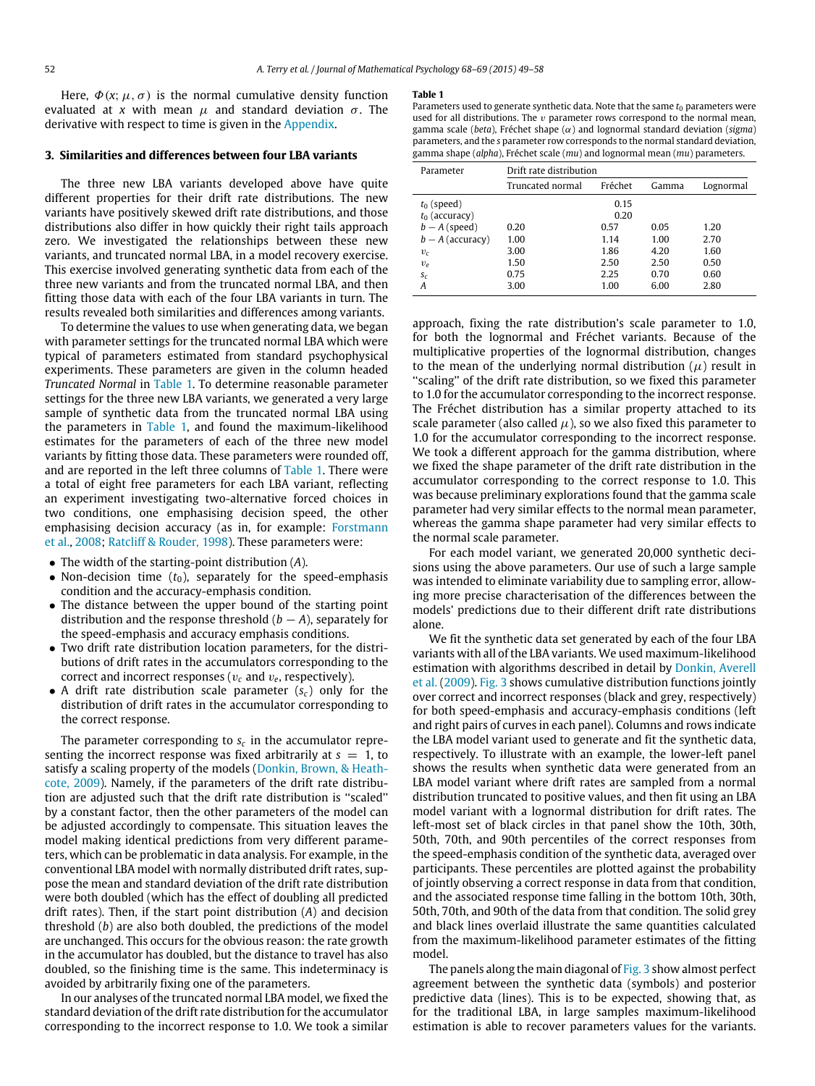Here,  $\Phi(x; \mu, \sigma)$  is the normal cumulative density function evaluated at *x* with mean  $\mu$  and standard deviation  $\sigma$ . The derivative with respect to time is given in the [Appendix.](#page-8-0)

# **3. Similarities and differences between four LBA variants**

The three new LBA variants developed above have quite different properties for their drift rate distributions. The new variants have positively skewed drift rate distributions, and those distributions also differ in how quickly their right tails approach zero. We investigated the relationships between these new variants, and truncated normal LBA, in a model recovery exercise. This exercise involved generating synthetic data from each of the three new variants and from the truncated normal LBA, and then fitting those data with each of the four LBA variants in turn. The results revealed both similarities and differences among variants.

To determine the values to use when generating data, we began with parameter settings for the truncated normal LBA which were typical of parameters estimated from standard psychophysical experiments. These parameters are given in the column headed *Truncated Normal* in [Table 1.](#page-3-0) To determine reasonable parameter settings for the three new LBA variants, we generated a very large sample of synthetic data from the truncated normal LBA using the parameters in [Table 1,](#page-3-0) and found the maximum-likelihood estimates for the parameters of each of the three new model variants by fitting those data. These parameters were rounded off, and are reported in the left three columns of [Table 1.](#page-3-0) There were a total of eight free parameters for each LBA variant, reflecting an experiment investigating two-alternative forced choices in two conditions, one emphasising decision speed, the other emphasising decision accuracy (as in, for example: [Forstmann](#page-9-12) [et al.,](#page-9-12) [2008;](#page-9-12) [Ratcliff](#page-9-1) [&](#page-9-1) [Rouder,](#page-9-1) [1998\)](#page-9-1). These parameters were:

- The width of the starting-point distribution (*A*).
- Non-decision time  $(t_0)$ , separately for the speed-emphasis condition and the accuracy-emphasis condition.
- The distance between the upper bound of the starting point distribution and the response threshold  $(b - A)$ , separately for the speed-emphasis and accuracy emphasis conditions.
- Two drift rate distribution location parameters, for the distributions of drift rates in the accumulators corresponding to the correct and incorrect responses ( $v_c$  and  $v_e$ , respectively).
- A drift rate distribution scale parameter  $(s_c)$  only for the distribution of drift rates in the accumulator corresponding to the correct response.

The parameter corresponding to  $s_c$  in the accumulator representing the incorrect response was fixed arbitrarily at  $s = 1$ , to [s](#page-9-13)atisfy a scaling property of the models [\(Donkin,](#page-9-13) [Brown,](#page-9-13) [&](#page-9-13) [Heath](#page-9-13)[cote,](#page-9-13) [2009\)](#page-9-13). Namely, if the parameters of the drift rate distribution are adjusted such that the drift rate distribution is ''scaled'' by a constant factor, then the other parameters of the model can be adjusted accordingly to compensate. This situation leaves the model making identical predictions from very different parameters, which can be problematic in data analysis. For example, in the conventional LBA model with normally distributed drift rates, suppose the mean and standard deviation of the drift rate distribution were both doubled (which has the effect of doubling all predicted drift rates). Then, if the start point distribution (*A*) and decision threshold (*b*) are also both doubled, the predictions of the model are unchanged. This occurs for the obvious reason: the rate growth in the accumulator has doubled, but the distance to travel has also doubled, so the finishing time is the same. This indeterminacy is avoided by arbitrarily fixing one of the parameters.

In our analyses of the truncated normal LBA model, we fixed the standard deviation of the drift rate distribution for the accumulator corresponding to the incorrect response to 1.0. We took a similar

#### <span id="page-3-0"></span>**Table 1**

Parameters used to generate synthetic data. Note that the same *t*<sub>0</sub> parameters were used for all distributions. The  $v$  parameter rows correspond to the normal mean, gamma scale (*beta*), Fréchet shape (α) and lognormal standard deviation (*sigma*) parameters, and the *s* parameter row corresponds to the normal standard deviation, gamma shape (*alpha*), Fréchet scale (*mu*) and lognormal mean (*mu*) parameters.

| Parameter          | Drift rate distribution |         |       |           |  |  |
|--------------------|-------------------------|---------|-------|-----------|--|--|
|                    | Truncated normal        | Fréchet | Gamma | Lognormal |  |  |
| $t_0$ (speed)      |                         | 0.15    |       |           |  |  |
| $t_0$ (accuracy)   | 0.20                    |         |       |           |  |  |
| $b - A$ (speed)    | 0.20                    | 0.57    | 0.05  | 1.20      |  |  |
| $b - A$ (accuracy) | 1.00                    | 1.14    | 1.00  | 2.70      |  |  |
| $v_c$              | 3.00                    | 1.86    | 4.20  | 1.60      |  |  |
| $v_e$              | 1.50                    | 2.50    | 2.50  | 0.50      |  |  |
| $S_c$              | 0.75                    | 2.25    | 0.70  | 0.60      |  |  |
| A                  | 3.00                    | 1.00    | 6.00  | 2.80      |  |  |

approach, fixing the rate distribution's scale parameter to 1.0, for both the lognormal and Fréchet variants. Because of the multiplicative properties of the lognormal distribution, changes to the mean of the underlying normal distribution  $(\mu)$  result in ''scaling'' of the drift rate distribution, so we fixed this parameter to 1.0 for the accumulator corresponding to the incorrect response. The Fréchet distribution has a similar property attached to its scale parameter (also called  $\mu$ ), so we also fixed this parameter to 1.0 for the accumulator corresponding to the incorrect response. We took a different approach for the gamma distribution, where we fixed the shape parameter of the drift rate distribution in the accumulator corresponding to the correct response to 1.0. This was because preliminary explorations found that the gamma scale parameter had very similar effects to the normal mean parameter, whereas the gamma shape parameter had very similar effects to the normal scale parameter.

For each model variant, we generated 20,000 synthetic decisions using the above parameters. Our use of such a large sample was intended to eliminate variability due to sampling error, allowing more precise characterisation of the differences between the models' predictions due to their different drift rate distributions alone.

We fit the synthetic data set generated by each of the four LBA variants with all of the LBA variants. We used maximum-likelihood estimation with algorithms described in detail by [Donkin,](#page-9-2) [Averell](#page-9-2) [et al.](#page-9-2) [\(2009\)](#page-9-2). [Fig. 3](#page-4-0) shows cumulative distribution functions jointly over correct and incorrect responses (black and grey, respectively) for both speed-emphasis and accuracy-emphasis conditions (left and right pairs of curves in each panel). Columns and rows indicate the LBA model variant used to generate and fit the synthetic data, respectively. To illustrate with an example, the lower-left panel shows the results when synthetic data were generated from an LBA model variant where drift rates are sampled from a normal distribution truncated to positive values, and then fit using an LBA model variant with a lognormal distribution for drift rates. The left-most set of black circles in that panel show the 10th, 30th, 50th, 70th, and 90th percentiles of the correct responses from the speed-emphasis condition of the synthetic data, averaged over participants. These percentiles are plotted against the probability of jointly observing a correct response in data from that condition, and the associated response time falling in the bottom 10th, 30th, 50th, 70th, and 90th of the data from that condition. The solid grey and black lines overlaid illustrate the same quantities calculated from the maximum-likelihood parameter estimates of the fitting model.

The panels along the main diagonal of [Fig. 3](#page-4-0) show almost perfect agreement between the synthetic data (symbols) and posterior predictive data (lines). This is to be expected, showing that, as for the traditional LBA, in large samples maximum-likelihood estimation is able to recover parameters values for the variants.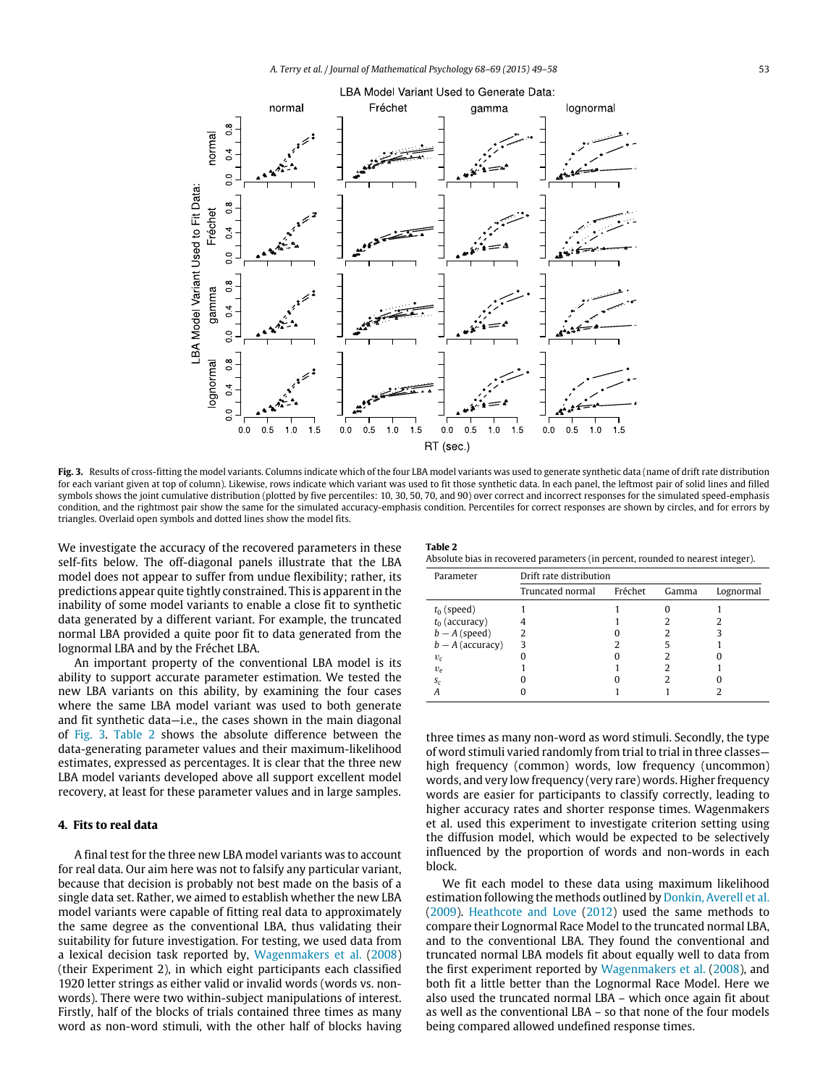<span id="page-4-0"></span>

Fig. 3. Results of cross-fitting the model variants. Columns indicate which of the four LBA model variants was used to generate synthetic data (name of drift rate distribution for each variant given at top of column). Likewise, rows indicate which variant was used to fit those synthetic data. In each panel, the leftmost pair of solid lines and filled symbols shows the joint cumulative distribution (plotted by five percentiles: 10, 30, 50, 70, and 90) over correct and incorrect responses for the simulated speed-emphasis condition, and the rightmost pair show the same for the simulated accuracy-emphasis condition. Percentiles for correct responses are shown by circles, and for errors by triangles. Overlaid open symbols and dotted lines show the model fits.

We investigate the accuracy of the recovered parameters in these self-fits below. The off-diagonal panels illustrate that the LBA model does not appear to suffer from undue flexibility; rather, its predictions appear quite tightly constrained. This is apparent in the inability of some model variants to enable a close fit to synthetic data generated by a different variant. For example, the truncated normal LBA provided a quite poor fit to data generated from the lognormal LBA and by the Fréchet LBA.

An important property of the conventional LBA model is its ability to support accurate parameter estimation. We tested the new LBA variants on this ability, by examining the four cases where the same LBA model variant was used to both generate and fit synthetic data—i.e., the cases shown in the main diagonal of [Fig. 3.](#page-4-0) [Table 2](#page-4-1) shows the absolute difference between the data-generating parameter values and their maximum-likelihood estimates, expressed as percentages. It is clear that the three new LBA model variants developed above all support excellent model recovery, at least for these parameter values and in large samples.

# **4. Fits to real data**

A final test for the three new LBA model variants was to account for real data. Our aim here was not to falsify any particular variant, because that decision is probably not best made on the basis of a single data set. Rather, we aimed to establish whether the new LBA model variants were capable of fitting real data to approximately the same degree as the conventional LBA, thus validating their suitability for future investigation. For testing, we used data from a lexical decision task reported by, [Wagenmakers](#page-9-4) [et al.](#page-9-4) [\(2008\)](#page-9-4) (their Experiment 2), in which eight participants each classified 1920 letter strings as either valid or invalid words (words vs. nonwords). There were two within-subject manipulations of interest. Firstly, half of the blocks of trials contained three times as many word as non-word stimuli, with the other half of blocks having

<span id="page-4-1"></span>

| Table 2                                                                         |  |  |  |
|---------------------------------------------------------------------------------|--|--|--|
| Absolute bias in recovered parameters (in percent, rounded to nearest integer). |  |  |  |

| Parameter          | Drift rate distribution |         |       |           |  |
|--------------------|-------------------------|---------|-------|-----------|--|
|                    | Truncated normal        | Fréchet | Gamma | Lognormal |  |
| $t_0$ (speed)      |                         |         |       |           |  |
| $t_0$ (accuracy)   |                         |         |       |           |  |
| $b - A$ (speed)    | 2                       |         |       |           |  |
| $b - A$ (accuracy) | 3                       |         |       |           |  |
| $v_c$              |                         |         |       |           |  |
| $v_e$              |                         |         |       |           |  |
| $S_{C}$            |                         |         |       |           |  |
|                    |                         |         |       |           |  |

three times as many non-word as word stimuli. Secondly, the type of word stimuli varied randomly from trial to trial in three classes high frequency (common) words, low frequency (uncommon) words, and very low frequency (very rare) words. Higher frequency words are easier for participants to classify correctly, leading to higher accuracy rates and shorter response times. Wagenmakers et al. used this experiment to investigate criterion setting using the diffusion model, which would be expected to be selectively influenced by the proportion of words and non-words in each block.

We fit each model to these data using maximum likelihood estimation following the methods outlined by [Donkin,](#page-9-2) [Averell](#page-9-2) [et al.](#page-9-2) [\(2009\)](#page-9-2). [Heathcote](#page-9-5) [and](#page-9-5) [Love](#page-9-5) [\(2012\)](#page-9-5) used the same methods to compare their Lognormal Race Model to the truncated normal LBA, and to the conventional LBA. They found the conventional and truncated normal LBA models fit about equally well to data from the first experiment reported by [Wagenmakers](#page-9-4) [et al.](#page-9-4) [\(2008\)](#page-9-4), and both fit a little better than the Lognormal Race Model. Here we also used the truncated normal LBA – which once again fit about as well as the conventional LBA – so that none of the four models being compared allowed undefined response times.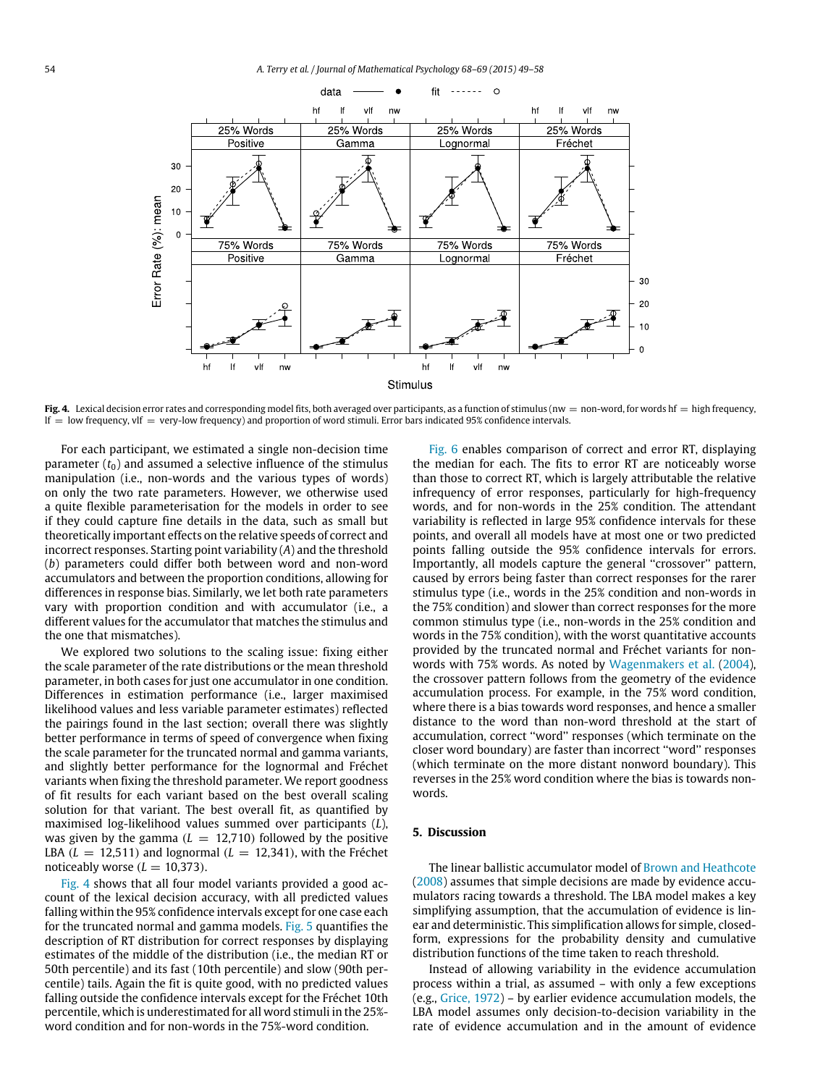<span id="page-5-0"></span>

**Fig. 4.** Lexical decision error rates and corresponding model fits, both averaged over participants, as a function of stimulus (nw = non-word, for words  $hf = high frequency$ ,  $If = low frequency, v$   $Vf = v$ ery-low frequency) and proportion of word stimuli. Error bars indicated 95% confidence intervals.

For each participant, we estimated a single non-decision time parameter  $(t_0)$  and assumed a selective influence of the stimulus manipulation (i.e., non-words and the various types of words) on only the two rate parameters. However, we otherwise used a quite flexible parameterisation for the models in order to see if they could capture fine details in the data, such as small but theoretically important effects on the relative speeds of correct and incorrect responses. Starting point variability (*A*) and the threshold (*b*) parameters could differ both between word and non-word accumulators and between the proportion conditions, allowing for differences in response bias. Similarly, we let both rate parameters vary with proportion condition and with accumulator (i.e., a different values for the accumulator that matches the stimulus and the one that mismatches).

We explored two solutions to the scaling issue: fixing either the scale parameter of the rate distributions or the mean threshold parameter, in both cases for just one accumulator in one condition. Differences in estimation performance (i.e., larger maximised likelihood values and less variable parameter estimates) reflected the pairings found in the last section; overall there was slightly better performance in terms of speed of convergence when fixing the scale parameter for the truncated normal and gamma variants, and slightly better performance for the lognormal and Fréchet variants when fixing the threshold parameter. We report goodness of fit results for each variant based on the best overall scaling solution for that variant. The best overall fit, as quantified by maximised log-likelihood values summed over participants (*L*), was given by the gamma  $(L = 12,710)$  followed by the positive LBA  $(L = 12,511)$  and lognormal  $(L = 12,341)$ , with the Fréchet noticeably worse  $(L = 10,373)$ .

[Fig. 4](#page-5-0) shows that all four model variants provided a good account of the lexical decision accuracy, with all predicted values falling within the 95% confidence intervals except for one case each for the truncated normal and gamma models. [Fig. 5](#page-6-0) quantifies the description of RT distribution for correct responses by displaying estimates of the middle of the distribution (i.e., the median RT or 50th percentile) and its fast (10th percentile) and slow (90th percentile) tails. Again the fit is quite good, with no predicted values falling outside the confidence intervals except for the Fréchet 10th percentile, which is underestimated for all word stimuli in the 25% word condition and for non-words in the 75%-word condition.

[Fig. 6](#page-6-1) enables comparison of correct and error RT, displaying the median for each. The fits to error RT are noticeably worse than those to correct RT, which is largely attributable the relative infrequency of error responses, particularly for high-frequency words, and for non-words in the 25% condition. The attendant variability is reflected in large 95% confidence intervals for these points, and overall all models have at most one or two predicted points falling outside the 95% confidence intervals for errors. Importantly, all models capture the general ''crossover'' pattern, caused by errors being faster than correct responses for the rarer stimulus type (i.e., words in the 25% condition and non-words in the 75% condition) and slower than correct responses for the more common stimulus type (i.e., non-words in the 25% condition and words in the 75% condition), with the worst quantitative accounts provided by the truncated normal and Fréchet variants for nonwords with 75% words. As noted by [Wagenmakers](#page-9-14) [et al.](#page-9-14) [\(2004\)](#page-9-14), the crossover pattern follows from the geometry of the evidence accumulation process. For example, in the 75% word condition, where there is a bias towards word responses, and hence a smaller distance to the word than non-word threshold at the start of accumulation, correct ''word'' responses (which terminate on the closer word boundary) are faster than incorrect ''word'' responses (which terminate on the more distant nonword boundary). This reverses in the 25% word condition where the bias is towards nonwords.

# **5. Discussion**

The linear ballistic accumulator model of [Brown](#page-9-0) [and](#page-9-0) [Heathcote](#page-9-0) [\(2008\)](#page-9-0) assumes that simple decisions are made by evidence accumulators racing towards a threshold. The LBA model makes a key simplifying assumption, that the accumulation of evidence is linear and deterministic. This simplification allows for simple, closedform, expressions for the probability density and cumulative distribution functions of the time taken to reach threshold.

Instead of allowing variability in the evidence accumulation process within a trial, as assumed – with only a few exceptions (e.g., [Grice,](#page-9-15) [1972\)](#page-9-15) – by earlier evidence accumulation models, the LBA model assumes only decision-to-decision variability in the rate of evidence accumulation and in the amount of evidence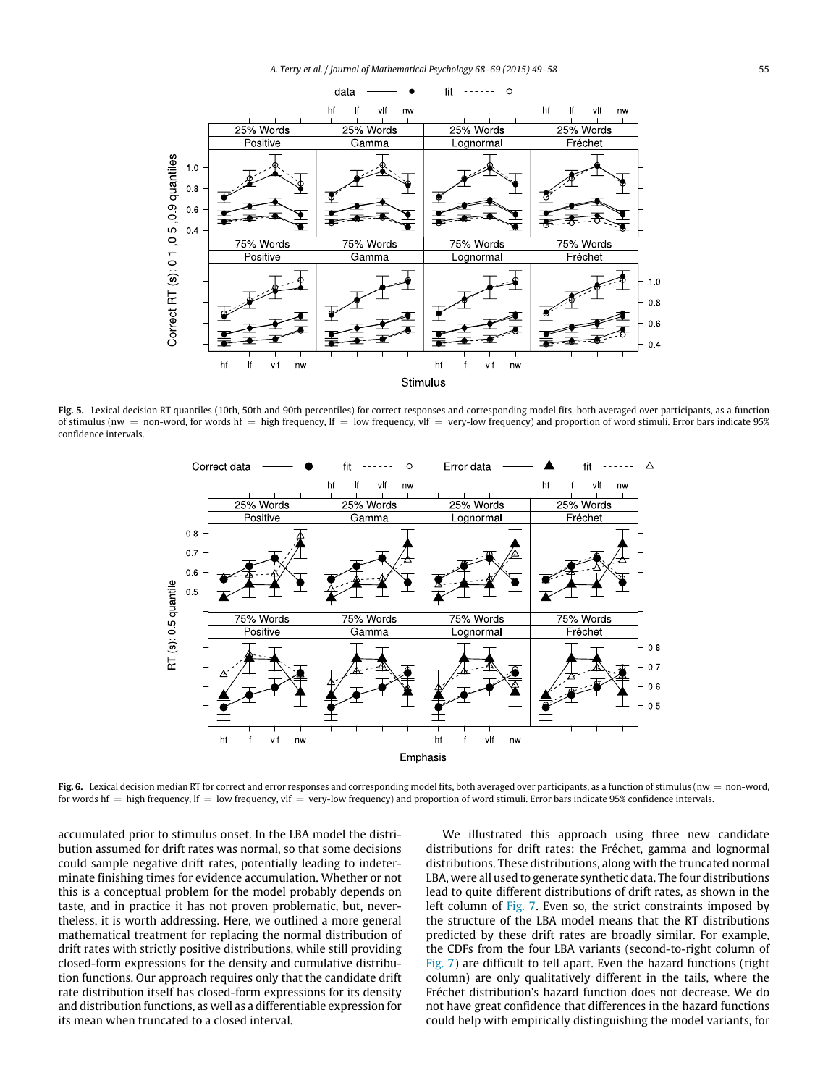<span id="page-6-0"></span>

<span id="page-6-1"></span>Fig. 5. Lexical decision RT quantiles (10th, 50th and 90th percentiles) for correct responses and corresponding model fits, both averaged over participants, as a function of stimulus (nw = non-word, for words hf = high frequency, lf = low frequency, vlf = very-low frequency) and proportion of word stimuli. Error bars indicate 95% confidence intervals.



Fig. 6. Lexical decision median RT for correct and error responses and corresponding model fits, both averaged over participants, as a function of stimulus (nw = non-word, for words  $hf = high$  frequency,  $lf = low$  frequency, vlf = very-low frequency) and proportion of word stimuli. Error bars indicate 95% confidence intervals.

accumulated prior to stimulus onset. In the LBA model the distribution assumed for drift rates was normal, so that some decisions could sample negative drift rates, potentially leading to indeterminate finishing times for evidence accumulation. Whether or not this is a conceptual problem for the model probably depends on taste, and in practice it has not proven problematic, but, nevertheless, it is worth addressing. Here, we outlined a more general mathematical treatment for replacing the normal distribution of drift rates with strictly positive distributions, while still providing closed-form expressions for the density and cumulative distribution functions. Our approach requires only that the candidate drift rate distribution itself has closed-form expressions for its density and distribution functions, as well as a differentiable expression for its mean when truncated to a closed interval.

We illustrated this approach using three new candidate distributions for drift rates: the Fréchet, gamma and lognormal distributions. These distributions, along with the truncated normal LBA, were all used to generate synthetic data. The four distributions lead to quite different distributions of drift rates, as shown in the left column of [Fig. 7.](#page-7-0) Even so, the strict constraints imposed by the structure of the LBA model means that the RT distributions predicted by these drift rates are broadly similar. For example, the CDFs from the four LBA variants (second-to-right column of [Fig. 7\)](#page-7-0) are difficult to tell apart. Even the hazard functions (right column) are only qualitatively different in the tails, where the Fréchet distribution's hazard function does not decrease. We do not have great confidence that differences in the hazard functions could help with empirically distinguishing the model variants, for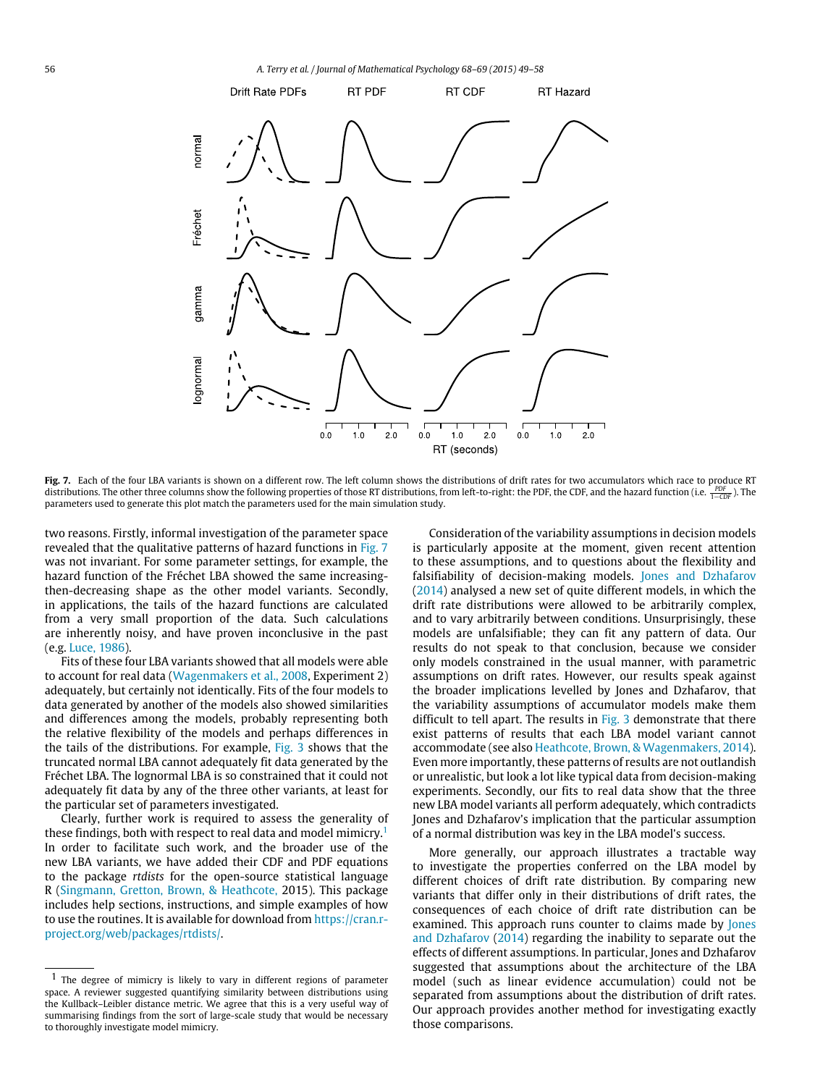<span id="page-7-0"></span>56 *A. Terry et al. / Journal of Mathematical Psychology 68–69 (2015) 49–58*



**Fig. 7.** Each of the four LBA variants is shown on a different row. The left column shows the distributions of drift rates for two accumulators which race to produce RT distributions. The other three columns show the following properties of those RT distributions, from left-to-right: the PDF, the CDF, and the hazard function (i.e.  $\frac{PDF}{1-CDF}$ ). The parameters used to generate this plot match the parameters used for the main simulation study.

two reasons. Firstly, informal investigation of the parameter space revealed that the qualitative patterns of hazard functions in [Fig. 7](#page-7-0) was not invariant. For some parameter settings, for example, the hazard function of the Fréchet LBA showed the same increasingthen-decreasing shape as the other model variants. Secondly, in applications, the tails of the hazard functions are calculated from a very small proportion of the data. Such calculations are inherently noisy, and have proven inconclusive in the past (e.g. [Luce,](#page-9-16) [1986\)](#page-9-16).

Fits of these four LBA variants showed that all models were able to account for real data [\(Wagenmakers](#page-9-4) [et al.,](#page-9-4) [2008,](#page-9-4) Experiment 2) adequately, but certainly not identically. Fits of the four models to data generated by another of the models also showed similarities and differences among the models, probably representing both the relative flexibility of the models and perhaps differences in the tails of the distributions. For example, [Fig. 3](#page-4-0) shows that the truncated normal LBA cannot adequately fit data generated by the Fréchet LBA. The lognormal LBA is so constrained that it could not adequately fit data by any of the three other variants, at least for the particular set of parameters investigated.

Clearly, further work is required to assess the generality of these findings, both with respect to real data and model mimicry.<sup>[1](#page-7-1)</sup> In order to facilitate such work, and the broader use of the new LBA variants, we have added their CDF and PDF equations to the package *rtdists* for the open-source statistical language R [\(Singmann,](#page-9-17) [Gretton,](#page-9-17) [Brown,](#page-9-17) [&](#page-9-17) [Heathcote,](#page-9-17) 2015). This package includes help sections, instructions, and simple examples of how [t](https://cran.r-project.org/web/packages/rtdists/)o use the routines. It is available for download from [https://cran.r](https://cran.r-project.org/web/packages/rtdists/)[project.org/web/packages/rtdists/.](https://cran.r-project.org/web/packages/rtdists/)

Consideration of the variability assumptions in decision models is particularly apposite at the moment, given recent attention to these assumptions, and to questions about the flexibility and falsifiability of decision-making models. [Jones](#page-9-18) [and](#page-9-18) [Dzhafarov](#page-9-18) [\(2014\)](#page-9-18) analysed a new set of quite different models, in which the drift rate distributions were allowed to be arbitrarily complex, and to vary arbitrarily between conditions. Unsurprisingly, these models are unfalsifiable; they can fit any pattern of data. Our results do not speak to that conclusion, because we consider only models constrained in the usual manner, with parametric assumptions on drift rates. However, our results speak against the broader implications levelled by Jones and Dzhafarov, that the variability assumptions of accumulator models make them difficult to tell apart. The results in  $Fig. 3$  demonstrate that there exist patterns of results that each LBA model variant cannot accommodate (see also [Heathcote,](#page-9-19) [Brown,](#page-9-19) [&](#page-9-19) [Wagenmakers,](#page-9-19) [2014\)](#page-9-19). Even more importantly, these patterns of results are not outlandish or unrealistic, but look a lot like typical data from decision-making experiments. Secondly, our fits to real data show that the three new LBA model variants all perform adequately, which contradicts Jones and Dzhafarov's implication that the particular assumption of a normal distribution was key in the LBA model's success.

More generally, our approach illustrates a tractable way to investigate the properties conferred on the LBA model by different choices of drift rate distribution. By comparing new variants that differ only in their distributions of drift rates, the consequences of each choice of drift rate distribution can be examined. This approach runs counter to claims made by [Jones](#page-9-18) [and](#page-9-18) [Dzhafarov](#page-9-18) [\(2014\)](#page-9-18) regarding the inability to separate out the effects of different assumptions. In particular, Jones and Dzhafarov suggested that assumptions about the architecture of the LBA model (such as linear evidence accumulation) could not be separated from assumptions about the distribution of drift rates. Our approach provides another method for investigating exactly those comparisons.

<span id="page-7-1"></span><sup>1</sup> The degree of mimicry is likely to vary in different regions of parameter space. A reviewer suggested quantifying similarity between distributions using the Kullback–Leibler distance metric. We agree that this is a very useful way of summarising findings from the sort of large-scale study that would be necessary to thoroughly investigate model mimicry.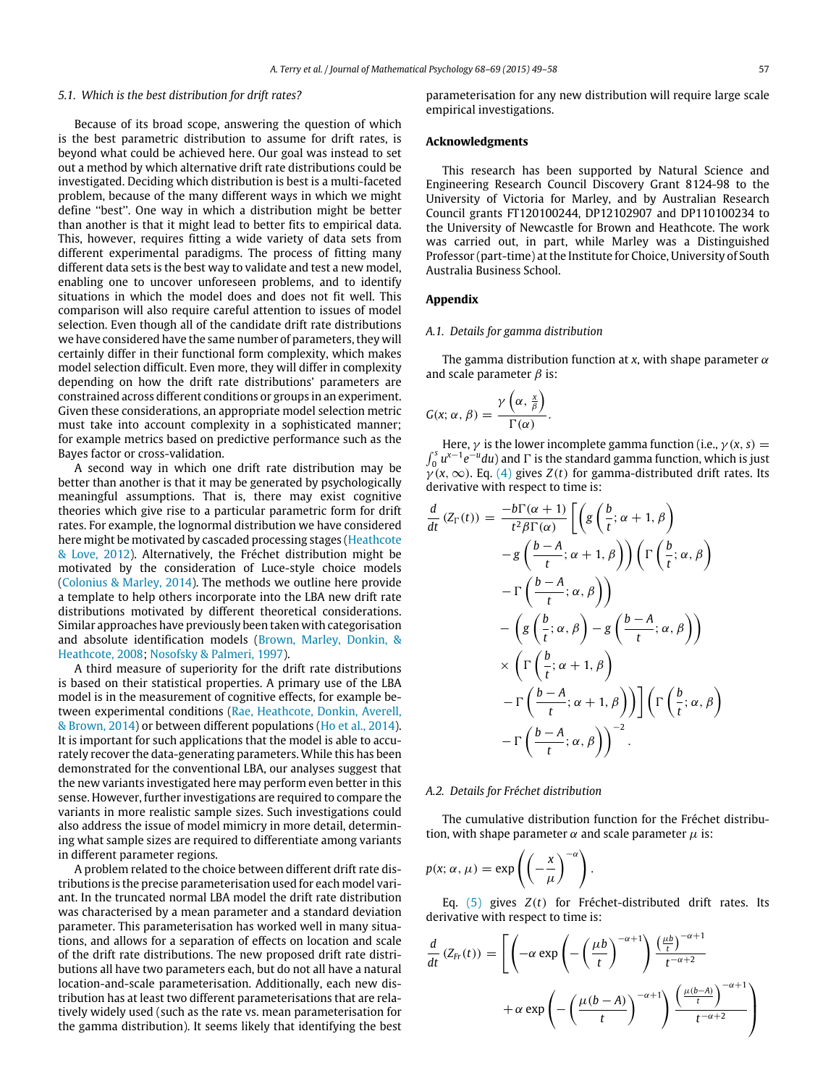## *5.1. Which is the best distribution for drift rates?*

Because of its broad scope, answering the question of which is the best parametric distribution to assume for drift rates, is beyond what could be achieved here. Our goal was instead to set out a method by which alternative drift rate distributions could be investigated. Deciding which distribution is best is a multi-faceted problem, because of the many different ways in which we might define ''best''. One way in which a distribution might be better than another is that it might lead to better fits to empirical data. This, however, requires fitting a wide variety of data sets from different experimental paradigms. The process of fitting many different data sets is the best way to validate and test a new model, enabling one to uncover unforeseen problems, and to identify situations in which the model does and does not fit well. This comparison will also require careful attention to issues of model selection. Even though all of the candidate drift rate distributions we have considered have the same number of parameters, they will certainly differ in their functional form complexity, which makes model selection difficult. Even more, they will differ in complexity depending on how the drift rate distributions' parameters are constrained across different conditions or groups in an experiment. Given these considerations, an appropriate model selection metric must take into account complexity in a sophisticated manner; for example metrics based on predictive performance such as the Bayes factor or cross-validation.

A second way in which one drift rate distribution may be better than another is that it may be generated by psychologically meaningful assumptions. That is, there may exist cognitive theories which give rise to a particular parametric form for drift rates. For example, the lognormal distribution we have considered here might be motivated by cascaded processing stages [\(Heathcote](#page-9-5) [&](#page-9-5) [Love,](#page-9-5) [2012\)](#page-9-5). Alternatively, the Fréchet distribution might be motivated by the consideration of Luce-style choice models [\(Colonius](#page-9-9) [&](#page-9-9) [Marley,](#page-9-9) [2014\)](#page-9-9). The methods we outline here provide a template to help others incorporate into the LBA new drift rate distributions motivated by different theoretical considerations. Similar approaches have previously been taken with categorisation and absolute identification models [\(Brown,](#page-9-20) [Marley,](#page-9-20) [Donkin,](#page-9-20) [&](#page-9-20) [Heathcote,](#page-9-20) [2008;](#page-9-20) [Nosofsky](#page-9-21) [&](#page-9-21) [Palmeri,](#page-9-21) [1997\)](#page-9-21).

A third measure of superiority for the drift rate distributions is based on their statistical properties. A primary use of the LBA model is in the measurement of cognitive effects, for example between experimental conditions [\(Rae,](#page-9-22) [Heathcote,](#page-9-22) [Donkin,](#page-9-22) [Averell,](#page-9-22) [&](#page-9-22) [Brown,](#page-9-22) [2014\)](#page-9-22) or between different populations [\(Ho](#page-9-23) [et al.,](#page-9-23) [2014\)](#page-9-23). It is important for such applications that the model is able to accurately recover the data-generating parameters. While this has been demonstrated for the conventional LBA, our analyses suggest that the new variants investigated here may perform even better in this sense. However, further investigations are required to compare the variants in more realistic sample sizes. Such investigations could also address the issue of model mimicry in more detail, determining what sample sizes are required to differentiate among variants in different parameter regions.

A problem related to the choice between different drift rate distributions is the precise parameterisation used for each model variant. In the truncated normal LBA model the drift rate distribution was characterised by a mean parameter and a standard deviation parameter. This parameterisation has worked well in many situations, and allows for a separation of effects on location and scale of the drift rate distributions. The new proposed drift rate distributions all have two parameters each, but do not all have a natural location-and-scale parameterisation. Additionally, each new distribution has at least two different parameterisations that are relatively widely used (such as the rate vs. mean parameterisation for the gamma distribution). It seems likely that identifying the best parameterisation for any new distribution will require large scale empirical investigations.

## **Acknowledgments**

This research has been supported by Natural Science and Engineering Research Council Discovery Grant 8124-98 to the University of Victoria for Marley, and by Australian Research Council grants FT120100244, DP12102907 and DP110100234 to the University of Newcastle for Brown and Heathcote. The work was carried out, in part, while Marley was a Distinguished Professor (part-time) at the Institute for Choice, University of South Australia Business School.

# <span id="page-8-0"></span>**Appendix**

## *A.1. Details for gamma distribution*

.

The gamma distribution function at *x*, with shape parameter  $\alpha$ and scale parameter  $\beta$  is:

$$
G(x; \alpha, \beta) = \frac{\gamma\left(\alpha, \frac{x}{\beta}\right)}{\Gamma(\alpha)}
$$

 $\int_0^s u^{x-1} e^{-u} du$  and  $\Gamma$  is the standard gamma function, which is just Here,  $\gamma$  is the lower incomplete gamma function (i.e.,  $\gamma$  (*x*, *s*) =  $\gamma(x,\infty)$ . Eq. [\(4\)](#page-2-2) gives  $Z(t)$  for gamma-distributed drift rates. Its derivative with respect to time is:

$$
\frac{d}{dt} (Z_{\Gamma}(t)) = \frac{-b\Gamma(\alpha+1)}{t^2 \beta \Gamma(\alpha)} \left[ \left( g\left(\frac{b}{t}; \alpha+1, \beta\right) - g\left(\frac{b-A}{t}; \alpha+1, \beta\right) \right) \left( \Gamma\left(\frac{b}{t}; \alpha, \beta\right) \right) - \Gamma\left(\frac{b-A}{t}; \alpha, \beta\right) \right) \n- \Gamma\left(\frac{b-A}{t}; \alpha, \beta\right) - g\left(\frac{b-A}{t}; \alpha, \beta\right) \right) \n\times \left( \Gamma\left(\frac{b}{t}; \alpha+1, \beta\right) - \Gamma\left(\frac{b-A}{t}; \alpha+1, \beta\right) \right) \left( \Gamma\left(\frac{b}{t}; \alpha, \beta\right) \right) \n- \Gamma\left(\frac{b-A}{t}; \alpha+1, \beta\right) \right) \left( \Gamma\left(\frac{b}{t}; \alpha, \beta\right) \right) \n- \Gamma\left(\frac{b-A}{t}; \alpha, \beta\right) \right)^{-2}.
$$

# *A.2. Details for Fréchet distribution*

The cumulative distribution function for the Fréchet distribution, with shape parameter  $\alpha$  and scale parameter  $\mu$  is:

$$
p(x; \alpha, \mu) = \exp\left(\left(-\frac{x}{\mu}\right)^{-\alpha}\right).
$$

Eq. [\(5\)](#page-2-3) gives *Z*(*t*) for Fréchet-distributed drift rates. Its derivative with respect to time is:

$$
\frac{d}{dt} (Z_{Fr}(t)) = \left[ \left( -\alpha \exp\left( -\left(\frac{\mu b}{t}\right)^{-\alpha+1} \right) \frac{\left(\frac{\mu b}{t}\right)^{-\alpha+1}}{t^{-\alpha+2}} + \alpha \exp\left( -\left(\frac{\mu (b-A)}{t}\right)^{-\alpha+1} \right) \frac{\left(\frac{\mu (b-A)}{t}\right)^{-\alpha+1}}{t^{-\alpha+2}} \right) \right]
$$